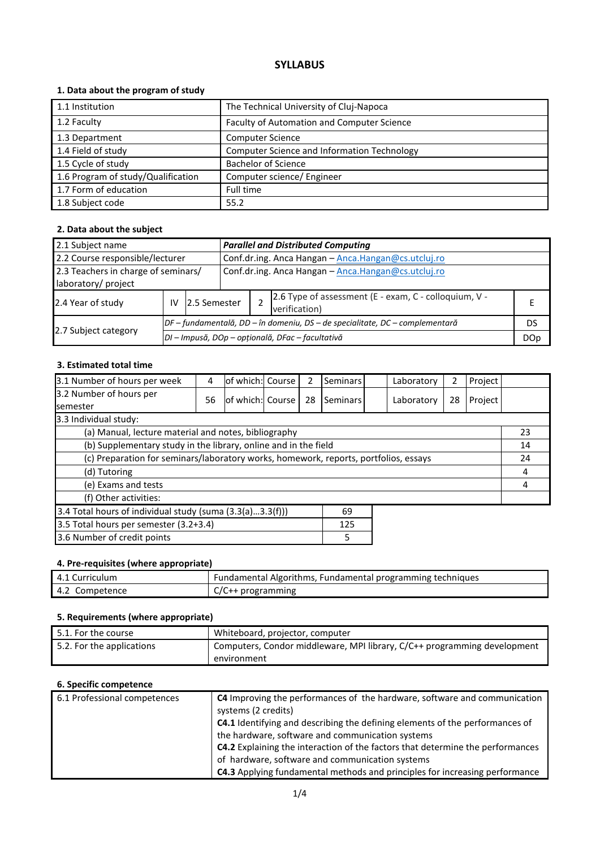# **SYLLABUS**

## **1. Data about the program of study**

| 1.1 Institution                    | The Technical University of Cluj-Napoca     |
|------------------------------------|---------------------------------------------|
| 1.2 Faculty                        | Faculty of Automation and Computer Science  |
| 1.3 Department                     | <b>Computer Science</b>                     |
| 1.4 Field of study                 | Computer Science and Information Technology |
| 1.5 Cycle of study                 | <b>Bachelor of Science</b>                  |
| 1.6 Program of study/Qualification | Computer science/ Engineer                  |
| 1.7 Form of education              | Full time                                   |
| 1.8 Subject code                   | 55.2                                        |

#### **2. Data about the subject**

| 2.1 Subject name                                           |    |                                                  |                                                                              | <b>Parallel and Distributed Computing</b>           |                                                                        |    |  |  |
|------------------------------------------------------------|----|--------------------------------------------------|------------------------------------------------------------------------------|-----------------------------------------------------|------------------------------------------------------------------------|----|--|--|
| 2.2 Course responsible/lecturer                            |    |                                                  |                                                                              | Conf.dr.ing. Anca Hangan - Anca.Hangan@cs.utcluj.ro |                                                                        |    |  |  |
| 2.3 Teachers in charge of seminars/<br>laboratory/ project |    |                                                  |                                                                              | Conf.dr.ing. Anca Hangan - Anca.Hangan@cs.utcluj.ro |                                                                        |    |  |  |
| 2.4 Year of study                                          | IV | 12.5 Semester                                    |                                                                              |                                                     | 2.6 Type of assessment (E - exam, C - colloquium, V -<br>verification) |    |  |  |
|                                                            |    |                                                  | DF – fundamentală, DD – în domeniu, DS – de specialitate, DC – complementară |                                                     |                                                                        | DS |  |  |
| 2.7 Subject category                                       |    | DI - Impusă, DOp - opțională, DFac - facultativă |                                                                              |                                                     |                                                                        |    |  |  |

#### **3. Estimated total time**

| 3.1 Number of hours per week                                                         | 4  | lof which:l Course |  | 2  | <b>Seminars</b> |  | Laboratory | 2  | Project |  |
|--------------------------------------------------------------------------------------|----|--------------------|--|----|-----------------|--|------------|----|---------|--|
| 3.2 Number of hours per<br><b>semester</b>                                           | 56 | of which: Course   |  | 28 | Seminars        |  | Laboratory | 28 | Project |  |
| 3.3 Individual study:                                                                |    |                    |  |    |                 |  |            |    |         |  |
| (a) Manual, lecture material and notes, bibliography                                 |    |                    |  |    |                 |  |            | 23 |         |  |
| (b) Supplementary study in the library, online and in the field                      |    |                    |  |    |                 |  | 14         |    |         |  |
| (c) Preparation for seminars/laboratory works, homework, reports, portfolios, essays |    |                    |  |    |                 |  | 24         |    |         |  |
| (d) Tutoring                                                                         |    |                    |  |    |                 |  |            | 4  |         |  |
| (e) Exams and tests                                                                  |    |                    |  |    |                 |  |            | 4  |         |  |
| (f) Other activities:                                                                |    |                    |  |    |                 |  |            |    |         |  |
| 3.4 Total hours of individual study (suma (3.3(a)3.3(f)))<br>69                      |    |                    |  |    |                 |  |            |    |         |  |
| 3.5 Total hours per semester (3.2+3.4)<br>125                                        |    |                    |  |    |                 |  |            |    |         |  |
| 3.6 Number of credit points<br>5                                                     |    |                    |  |    |                 |  |            |    |         |  |

#### **4. Pre-requisites (where appropriate)**

| 4.1 Curriculum    | Fundamental Algorithms, Fundamental programming techniques |
|-------------------|------------------------------------------------------------|
| 4.2<br>Competence | $C/C++$ programming                                        |

#### **5. Requirements (where appropriate)**

| $\mid$ 5.1. For the course | Whiteboard, projector, computer                                          |
|----------------------------|--------------------------------------------------------------------------|
| 5.2. For the applications  | Computers, Condor middleware, MPI library, C/C++ programming development |
|                            | environment                                                              |

#### **6. Specific competence**

| 6.1 Professional competences | C4 Improving the performances of the hardware, software and communication<br>systems (2 credits) |
|------------------------------|--------------------------------------------------------------------------------------------------|
|                              | <b>C4.1</b> Identifying and describing the defining elements of the performances of              |
|                              | the hardware, software and communication systems                                                 |
|                              | C4.2 Explaining the interaction of the factors that determine the performances                   |
|                              | of hardware, software and communication systems                                                  |
|                              | C4.3 Applying fundamental methods and principles for increasing performance                      |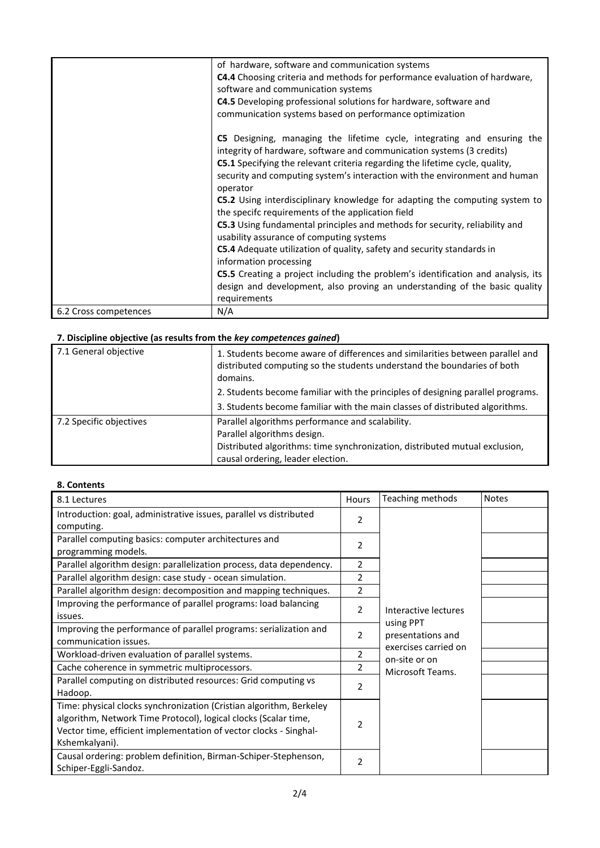|                       | of hardware, software and communication systems<br><b>C4.4</b> Choosing criteria and methods for performance evaluation of hardware,<br>software and communication systems<br><b>C4.5</b> Developing professional solutions for hardware, software and<br>communication systems based on performance optimization                 |
|-----------------------|-----------------------------------------------------------------------------------------------------------------------------------------------------------------------------------------------------------------------------------------------------------------------------------------------------------------------------------|
|                       | C5 Designing, managing the lifetime cycle, integrating and ensuring the<br>integrity of hardware, software and communication systems (3 credits)<br><b>C5.1</b> Specifying the relevant criteria regarding the lifetime cycle, quality,<br>security and computing system's interaction with the environment and human<br>operator |
|                       | C5.2 Using interdisciplinary knowledge for adapting the computing system to<br>the specifc requirements of the application field                                                                                                                                                                                                  |
|                       | C5.3 Using fundamental principles and methods for security, reliability and<br>usability assurance of computing systems                                                                                                                                                                                                           |
|                       | C5.4 Adequate utilization of quality, safety and security standards in<br>information processing                                                                                                                                                                                                                                  |
|                       | C5.5 Creating a project including the problem's identification and analysis, its                                                                                                                                                                                                                                                  |
|                       | design and development, also proving an understanding of the basic quality<br>requirements                                                                                                                                                                                                                                        |
| 6.2 Cross competences | N/A                                                                                                                                                                                                                                                                                                                               |

# **7. Discipline objective (as results from the** *key competences gained***)**

| 7.1 General objective   | 1. Students become aware of differences and similarities between parallel and<br>distributed computing so the students understand the boundaries of both<br>domains. |
|-------------------------|----------------------------------------------------------------------------------------------------------------------------------------------------------------------|
|                         | 2. Students become familiar with the principles of designing parallel programs.                                                                                      |
|                         | 3. Students become familiar with the main classes of distributed algorithms.                                                                                         |
| 7.2 Specific objectives | Parallel algorithms performance and scalability.                                                                                                                     |
|                         | Parallel algorithms design.                                                                                                                                          |
|                         | Distributed algorithms: time synchronization, distributed mutual exclusion,                                                                                          |
|                         | causal ordering, leader election.                                                                                                                                    |

## **8. Contents**

| 8.1 Lectures                                                         | Hours          | Teaching methods               | <b>Notes</b> |
|----------------------------------------------------------------------|----------------|--------------------------------|--------------|
| Introduction: goal, administrative issues, parallel vs distributed   | 2              |                                |              |
| computing.                                                           |                |                                |              |
| Parallel computing basics: computer architectures and                | $\overline{2}$ |                                |              |
| programming models.                                                  |                |                                |              |
| Parallel algorithm design: parallelization process, data dependency. | 2              |                                |              |
| Parallel algorithm design: case study - ocean simulation.            | 2              |                                |              |
| Parallel algorithm design: decomposition and mapping techniques.     | 2              |                                |              |
| Improving the performance of parallel programs: load balancing       | $\overline{2}$ | Interactive lectures           |              |
| issues.                                                              |                |                                |              |
| Improving the performance of parallel programs: serialization and    | 2              | using PPT<br>presentations and |              |
| communication issues.                                                |                | exercises carried on           |              |
| Workload-driven evaluation of parallel systems.                      | 2              | on-site or on                  |              |
| Cache coherence in symmetric multiprocessors.                        | 2              | Microsoft Teams.               |              |
| Parallel computing on distributed resources: Grid computing vs       | 2              |                                |              |
| Hadoop.                                                              |                |                                |              |
| Time: physical clocks synchronization (Cristian algorithm, Berkeley  |                |                                |              |
| algorithm, Network Time Protocol), logical clocks (Scalar time,      | 2              |                                |              |
| Vector time, efficient implementation of vector clocks - Singhal-    |                |                                |              |
| Kshemkalyani).                                                       |                |                                |              |
| Causal ordering: problem definition, Birman-Schiper-Stephenson,      | 2              |                                |              |
| Schiper-Eggli-Sandoz.                                                |                |                                |              |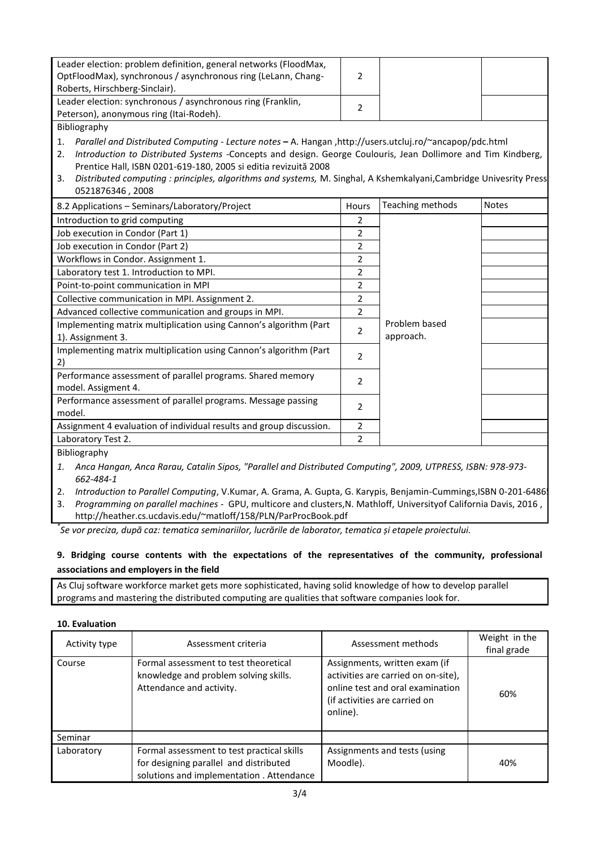| Leader election: problem definition, general networks (FloodMax,<br>OptFloodMax), synchronous / asynchronous ring (LeLann, Chang-<br>Roberts, Hirschberg-Sinclair).                                                                                                                                                                                                                                                                                                                                           | 2                                                                                                               |                            |              |
|---------------------------------------------------------------------------------------------------------------------------------------------------------------------------------------------------------------------------------------------------------------------------------------------------------------------------------------------------------------------------------------------------------------------------------------------------------------------------------------------------------------|-----------------------------------------------------------------------------------------------------------------|----------------------------|--------------|
| Leader election: synchronous / asynchronous ring (Franklin,<br>Peterson), anonymous ring (Itai-Rodeh).                                                                                                                                                                                                                                                                                                                                                                                                        | $\overline{2}$                                                                                                  |                            |              |
| Bibliography                                                                                                                                                                                                                                                                                                                                                                                                                                                                                                  |                                                                                                                 |                            |              |
| Parallel and Distributed Computing - Lecture notes - A. Hangan , http://users.utcluj.ro/~ancapop/pdc.html<br>1.<br>Introduction to Distributed Systems -Concepts and design. George Coulouris, Jean Dollimore and Tim Kindberg,<br>2.<br>Prentice Hall, ISBN 0201-619-180, 2005 si editia revizuită 2008<br>Distributed computing : principles, algorithms and systems, M. Singhal, A Kshemkalyani, Cambridge Univesrity Press<br>3.<br>0521876346, 2008                                                      |                                                                                                                 |                            |              |
| 8.2 Applications - Seminars/Laboratory/Project                                                                                                                                                                                                                                                                                                                                                                                                                                                                | Hours                                                                                                           | Teaching methods           | <b>Notes</b> |
| Introduction to grid computing<br>Job execution in Condor (Part 1)<br>Job execution in Condor (Part 2)<br>Workflows in Condor. Assignment 1.<br>Laboratory test 1. Introduction to MPI.<br>Point-to-point communication in MPI<br>Collective communication in MPI. Assignment 2.<br>Advanced collective communication and groups in MPI.<br>Implementing matrix multiplication using Cannon's algorithm (Part<br>1). Assignment 3.<br>Implementing matrix multiplication using Cannon's algorithm (Part<br>2) | 2<br>2<br>$\overline{2}$<br>2<br>$\overline{2}$<br>2<br>2<br>$\overline{2}$<br>$\overline{2}$<br>$\overline{2}$ | Problem based<br>approach. |              |
| Performance assessment of parallel programs. Shared memory<br>model. Assigment 4.                                                                                                                                                                                                                                                                                                                                                                                                                             | $\overline{2}$                                                                                                  |                            |              |
| Performance assessment of parallel programs. Message passing<br>model.                                                                                                                                                                                                                                                                                                                                                                                                                                        | $\overline{2}$                                                                                                  |                            |              |
| Assignment 4 evaluation of individual results and group discussion.                                                                                                                                                                                                                                                                                                                                                                                                                                           | $\overline{2}$                                                                                                  |                            |              |
| Laboratory Test 2.                                                                                                                                                                                                                                                                                                                                                                                                                                                                                            | 2                                                                                                               |                            |              |
| Bibliography                                                                                                                                                                                                                                                                                                                                                                                                                                                                                                  |                                                                                                                 |                            |              |

*1. Anca Hangan, Anca Rarau, Catalin Sipos, "Parallel and Distributed Computing", 2009, UTPRESS, ISBN: 978-973- 662-484-1*

2. *Introduction to Parallel Computing*, V.Kumar, A. Grama, A. Gupta, G. Karypis, Benjamin-Cummings, ISBN 0-201-6486

3. *Programming on parallel machines* - GPU, multicore and clusters,N. Mathloff, Universityof California Davis, 2016 , http://heather.cs.ucdavis.edu/~matloff/158/PLN/ParProcBook.pdf

*\* Se vor preciza, după caz: tematica seminariilor, lucrările de laborator, tematica și etapele proiectului.*

## **9. Bridging course contents with the expectations of the representatives of the community, professional associations and employers in the field**

As Cluj software workforce market gets more sophisticated, having solid knowledge of how to develop parallel programs and mastering the distributed computing are qualities that software companies look for.

#### **10. Evaluation**

| Activity type | Assessment criteria                                                                                                              | Assessment methods                                                                                                                                    | Weight in the<br>final grade |
|---------------|----------------------------------------------------------------------------------------------------------------------------------|-------------------------------------------------------------------------------------------------------------------------------------------------------|------------------------------|
| Course        | Formal assessment to test theoretical<br>knowledge and problem solving skills.<br>Attendance and activity.                       | Assignments, written exam (if<br>activities are carried on on-site),<br>online test and oral examination<br>(if activities are carried on<br>online). | 60%                          |
| Seminar       |                                                                                                                                  |                                                                                                                                                       |                              |
| Laboratory    | Formal assessment to test practical skills<br>for designing parallel and distributed<br>solutions and implementation. Attendance | Assignments and tests (using<br>Moodle).                                                                                                              | 40%                          |